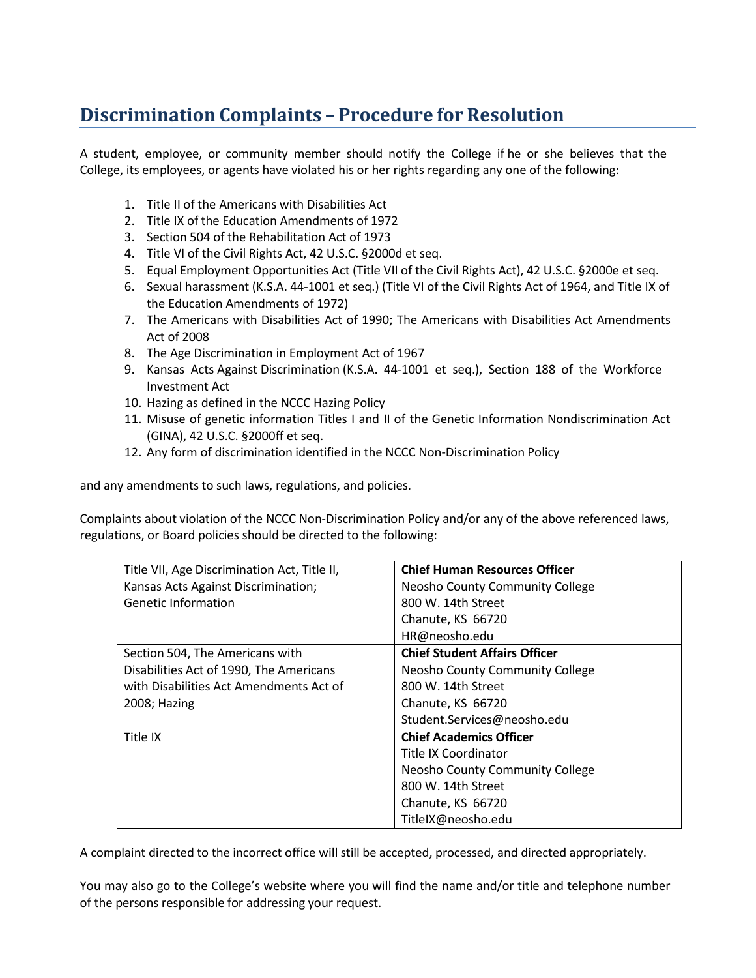## **Discrimination Complaints - Procedure for Resolution**

A student, employee, or community member should notify the College if he or she believes that the College, its employees, or agents have violated his or her rights regarding any one of the following:

- 1. Title II of the Americans with Disabilities Act
- 2. Title IX of the Education Amendments of 1972
- 3. Section 504 of the Rehabilitation Act of 1973
- 4. Title VI of the Civil Rights Act, 42 U.S.C. §2000d et seq.
- 5. Equal Employment Opportunities Act (Title VII of the Civil Rights Act), 42 U.S.C. §2000e et seq.
- 6. Sexual harassment (K.S.A. 44-1001 et seq.) (Title VI of the Civil Rights Act of 1964, and Title IX of the Education Amendments of 1972)
- 7. The Americans with Disabilities Act of 1990; The Americans with Disabilities Act Amendments Act of 2008
- 8. The Age Discrimination in Employment Act of 1967
- 9. Kansas Acts Against Discrimination (K.S.A. 44-1001 et seq.), Section 188 of the Workforce Investment Act
- 10. Hazing as defined in the NCCC Hazing Policy
- 11. Misuse of genetic information Titles I and II of the Genetic Information Nondiscrimination Act (GINA), 42 U.S.C. §2000ff et seq.
- 12. Any form of discrimination identified in the NCCC Non-Discrimination Policy

and any amendments to such laws, regulations, and policies.

Complaints about violation of the NCCC Non-Discrimination Policy and/or any of the above referenced laws, regulations, or Board policies should be directed to the following:

| Title VII, Age Discrimination Act, Title II, | <b>Chief Human Resources Officer</b> |
|----------------------------------------------|--------------------------------------|
| Kansas Acts Against Discrimination;          | Neosho County Community College      |
| <b>Genetic Information</b>                   | 800 W. 14th Street                   |
|                                              | Chanute, KS 66720                    |
|                                              | HR@neosho.edu                        |
| Section 504, The Americans with              | <b>Chief Student Affairs Officer</b> |
| Disabilities Act of 1990, The Americans      | Neosho County Community College      |
| with Disabilities Act Amendments Act of      | 800 W. 14th Street                   |
| 2008; Hazing                                 | Chanute, KS 66720                    |
|                                              | Student.Services@neosho.edu          |
| Title IX                                     | <b>Chief Academics Officer</b>       |
|                                              | Title IX Coordinator                 |
|                                              | Neosho County Community College      |
|                                              | 800 W. 14th Street                   |
|                                              | Chanute, KS 66720                    |
|                                              | TitleIX@neosho.edu                   |

A complaint directed to the incorrect office will still be accepted, processed, and directed appropriately.

You may also go to the College's website where you will find the name and/or title and telephone number of the persons responsible for addressing your request.